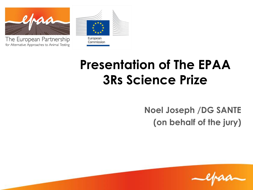

The European Partnership for Alternative Approaches to Animal Testing



#### **Presentation of The EPAA 3Rs Science Prize**

**Noel Joseph /DG SANTE (on behalf of the jury)**

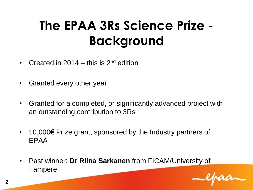## **The EPAA 3Rs Science Prize - Background**

- Created in 2014 this is  $2^{nd}$  edition
- Granted every other year
- Granted for a completed, or significantly advanced project with an outstanding contribution to 3Rs
- 10,000€ Prize grant, sponsored by the Industry partners of EPAA
- Past winner: **Dr Riina Sarkanen** from FICAM/University of **Tampere**

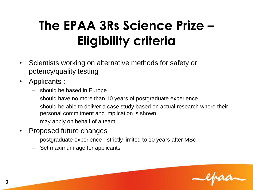# **The EPAA 3Rs Science Prize – Eligibility criteria**

- Scientists working on alternative methods for safety or potency/quality testing
- Applicants :
	- should be based in Europe
	- should have no more than 10 years of postgraduate experience
	- should be able to deliver a case study based on actual research where their personal commitment and implication is shown
	- may apply on behalf of a team
- Proposed future changes
	- postgraduate experience strictly limited to 10 years after MSc
	- Set maximum age for applicants

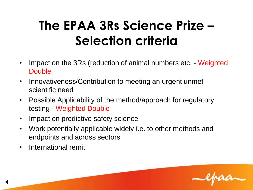## **The EPAA 3Rs Science Prize – Selection criteria**

- Impact on the 3Rs (reduction of animal numbers etc. Weighted **Double**
- Innovativeness/Contribution to meeting an urgent unmet scientific need
- Possible Applicability of the method/approach for regulatory testing - Weighted Double
- Impact on predictive safety science
- Work potentially applicable widely i.e. to other methods and endpoints and across sectors
- International remit

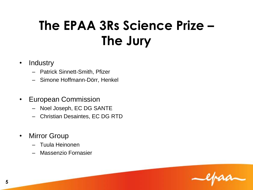# **The EPAA 3Rs Science Prize – The Jury**

- Industry
	- Patrick Sinnett-Smith, Pfizer
	- Simone Hoffmann-Dörr, Henkel
- European Commission
	- Noel Joseph, EC DG SANTE
	- Christian Desaintes, EC DG RTD
- Mirror Group
	- Tuula Heinonen
	- Massenzio Fornasier

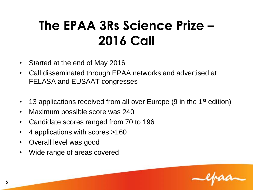## **The EPAA 3Rs Science Prize – 2016 Call**

- Started at the end of May 2016
- Call disseminated through EPAA networks and advertised at FELASA and EUSAAT congresses
- 13 applications received from all over Europe (9 in the 1<sup>st</sup> edition)
- Maximum possible score was 240
- Candidate scores ranged from 70 to 196
- 4 applications with scores >160
- Overall level was good
- Wide range of areas covered

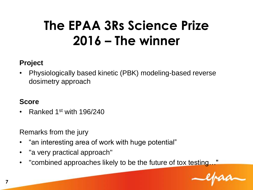## **The EPAA 3Rs Science Prize 2016 – The winner**

#### **Project**

• Physiologically based kinetic (PBK) modeling-based reverse dosimetry approach

#### **Score**

• Ranked 1st with 196/240

Remarks from the jury

- "an interesting area of work with huge potential"
- "a very practical approach"
- "combined approaches likely to be the future of tox testing…"